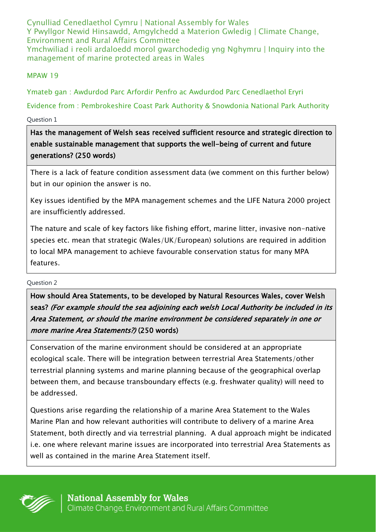Cynulliad Cenedlaethol Cymru | National Assembly for Wales Y Pwyllgor Newid Hinsawdd, Amgylchedd a Materion Gwledig | Climate Change, Environment and Rural Affairs Committee Ymchwiliad i reoli ardaloedd morol gwarchodedig yng Nghymru | Inquiry into the management of marine protected areas in Wales

MPAW 19

Ymateb gan : Awdurdod Parc Arfordir Penfro ac Awdurdod Parc Cenedlaethol Eryri

Evidence from : Pembrokeshire Coast Park Authority & Snowdonia National Park Authority

Question 1

Has the management of Welsh seas received sufficient resource and strategic direction to enable sustainable management that supports the well-being of current and future generations? (250 words)

There is a lack of feature condition assessment data (we comment on this further below) but in our opinion the answer is no.

Key issues identified by the MPA management schemes and the LIFE Natura 2000 project are insufficiently addressed.

The nature and scale of key factors like fishing effort, marine litter, invasive non-native species etc. mean that strategic (Wales/UK/European) solutions are required in addition to local MPA management to achieve favourable conservation status for many MPA features.

### Question 2

How should Area Statements, to be developed by Natural Resources Wales, cover Welsh seas? (For example should the sea adjoining each welsh Local Authority be included in its Area Statement, or should the marine environment be considered separately in one or more marine Area Statements?) (250 words)

Conservation of the marine environment should be considered at an appropriate ecological scale. There will be integration between terrestrial Area Statements/other terrestrial planning systems and marine planning because of the geographical overlap between them, and because transboundary effects (e.g. freshwater quality) will need to be addressed.

Questions arise regarding the relationship of a marine Area Statement to the Wales Marine Plan and how relevant authorities will contribute to delivery of a marine Area Statement, both directly and via terrestrial planning. A dual approach might be indicated i.e. one where relevant marine issues are incorporated into terrestrial Area Statements as well as contained in the marine Area Statement itself.

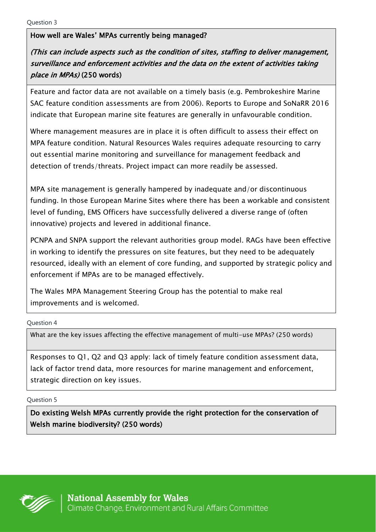### How well are Wales' MPAs currently being managed?

# (This can include aspects such as the condition of sites, staffing to deliver management, surveillance and enforcement activities and the data on the extent of activities taking place in MPAs) (250 words)

Feature and factor data are not available on a timely basis (e.g. Pembrokeshire Marine SAC feature condition assessments are from 2006). Reports to Europe and SoNaRR 2016 indicate that European marine site features are generally in unfavourable condition.

Where management measures are in place it is often difficult to assess their effect on MPA feature condition. Natural Resources Wales requires adequate resourcing to carry out essential marine monitoring and surveillance for management feedback and detection of trends/threats. Project impact can more readily be assessed.

MPA site management is generally hampered by inadequate and/or discontinuous funding. In those European Marine Sites where there has been a workable and consistent level of funding, EMS Officers have successfully delivered a diverse range of (often innovative) projects and levered in additional finance.

PCNPA and SNPA support the relevant authorities group model. RAGs have been effective in working to identify the pressures on site features, but they need to be adequately resourced, ideally with an element of core funding, and supported by strategic policy and enforcement if MPAs are to be managed effectively.

The Wales MPA Management Steering Group has the potential to make real improvements and is welcomed.

Question 4

What are the key issues affecting the effective management of multi-use MPAs? (250 words)

Responses to Q1, Q2 and Q3 apply: lack of timely feature condition assessment data, lack of factor trend data, more resources for marine management and enforcement, strategic direction on key issues.

Question 5

Do existing Welsh MPAs currently provide the right protection for the conservation of Welsh marine biodiversity? (250 words)

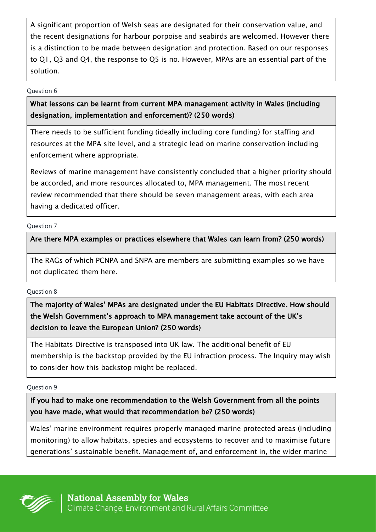A significant proportion of Welsh seas are designated for their conservation value, and the recent designations for harbour porpoise and seabirds are welcomed. However there is a distinction to be made between designation and protection. Based on our responses to Q1, Q3 and Q4, the response to Q5 is no. However, MPAs are an essential part of the solution.

#### Question 6

## What lessons can be learnt from current MPA management activity in Wales (including designation, implementation and enforcement)? (250 words)

There needs to be sufficient funding (ideally including core funding) for staffing and resources at the MPA site level, and a strategic lead on marine conservation including enforcement where appropriate.

Reviews of marine management have consistently concluded that a higher priority should be accorded, and more resources allocated to, MPA management. The most recent review recommended that there should be seven management areas, with each area having a dedicated officer.

### Question 7

### Are there MPA examples or practices elsewhere that Wales can learn from? (250 words)

The RAGs of which PCNPA and SNPA are members are submitting examples so we have not duplicated them here.

### Question 8

## The majority of Wales' MPAs are designated under the EU Habitats Directive. How should the Welsh Government's approach to MPA management take account of the UK's decision to leave the European Union? (250 words)

The Habitats Directive is transposed into UK law. The additional benefit of EU membership is the backstop provided by the EU infraction process. The Inquiry may wish to consider how this backstop might be replaced.

### Question 9

### If you had to make one recommendation to the Welsh Government from all the points you have made, what would that recommendation be? (250 words)

Wales' marine environment requires properly managed marine protected areas (including monitoring) to allow habitats, species and ecosystems to recover and to maximise future generations' sustainable benefit. Management of, and enforcement in, the wider marine